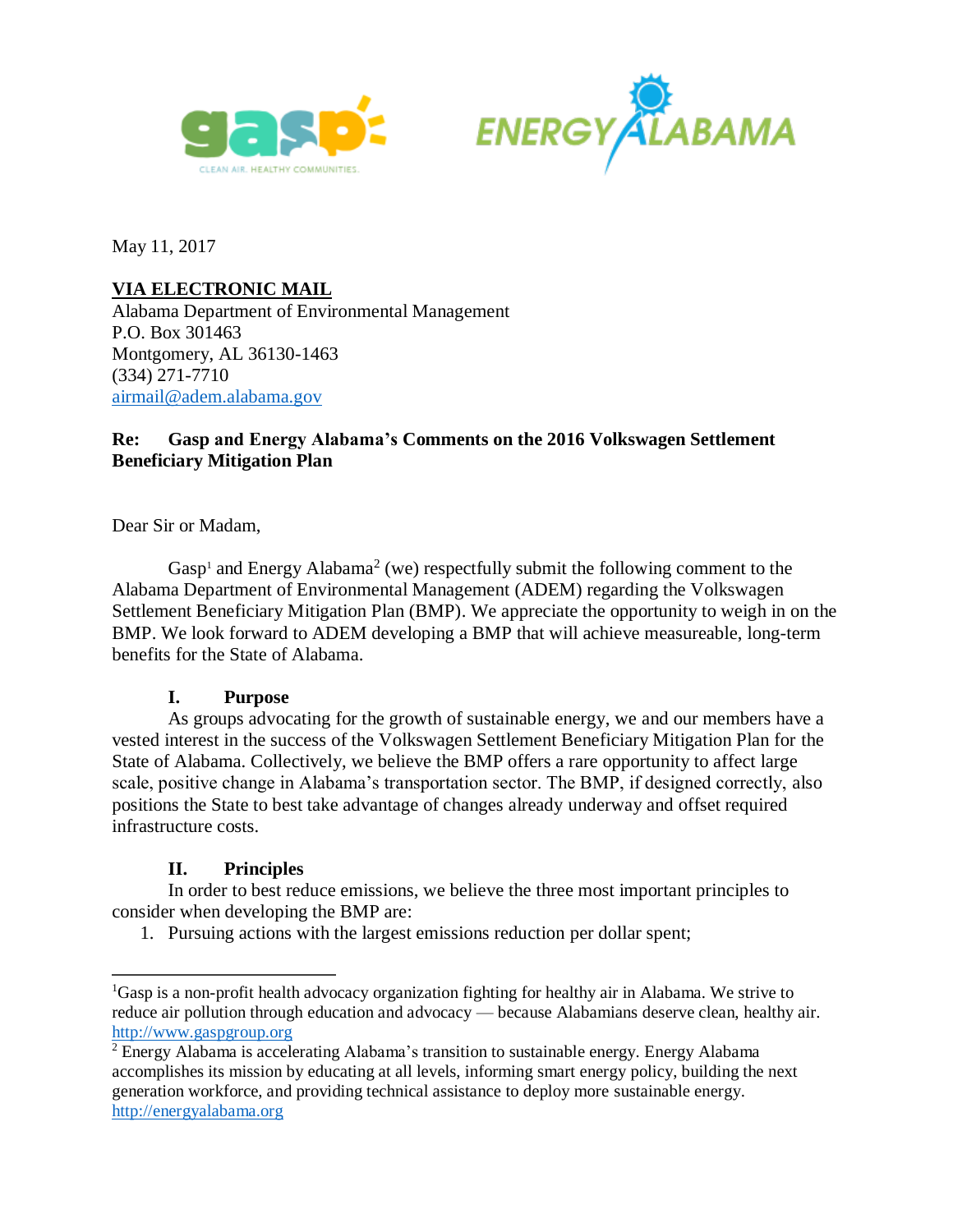



May 11, 2017

# **VIA ELECTRONIC MAIL**

Alabama Department of Environmental Management P.O. Box 301463 Montgomery, AL 36130-1463 (334) 271-7710 [airmail@adem.alabama.gov](mailto:airmail@adem.alabama.gov)

## **Re: Gasp and Energy Alabama's Comments on the 2016 Volkswagen Settlement Beneficiary Mitigation Plan**

Dear Sir or Madam,

Gasp<sup>1</sup> and Energy Alabama<sup>2</sup> (we) respectfully submit the following comment to the Alabama Department of Environmental Management (ADEM) regarding the Volkswagen Settlement Beneficiary Mitigation Plan (BMP). We appreciate the opportunity to weigh in on the BMP. We look forward to ADEM developing a BMP that will achieve measureable, long-term benefits for the State of Alabama.

## **I. Purpose**

As groups advocating for the growth of sustainable energy, we and our members have a vested interest in the success of the Volkswagen Settlement Beneficiary Mitigation Plan for the State of Alabama. Collectively, we believe the BMP offers a rare opportunity to affect large scale, positive change in Alabama's transportation sector. The BMP, if designed correctly, also positions the State to best take advantage of changes already underway and offset required infrastructure costs.

## **II. Principles**

 $\overline{a}$ 

In order to best reduce emissions, we believe the three most important principles to consider when developing the BMP are:

1. Pursuing actions with the largest emissions reduction per dollar spent;

<sup>&</sup>lt;sup>1</sup>Gasp is a non-profit health advocacy organization fighting for healthy air in Alabama. We strive to reduce air pollution through education and advocacy — because Alabamians deserve clean, healthy air. [http://www.gaspgroup.org](http://www.gaspgroup.org/)

<sup>2</sup> Energy Alabama is accelerating Alabama's transition to sustainable energy. Energy Alabama accomplishes its mission by educating at all levels, informing smart energy policy, building the next generation workforce, and providing technical assistance to deploy more sustainable energy. [http://energyalabama.org](http://alcse.org/)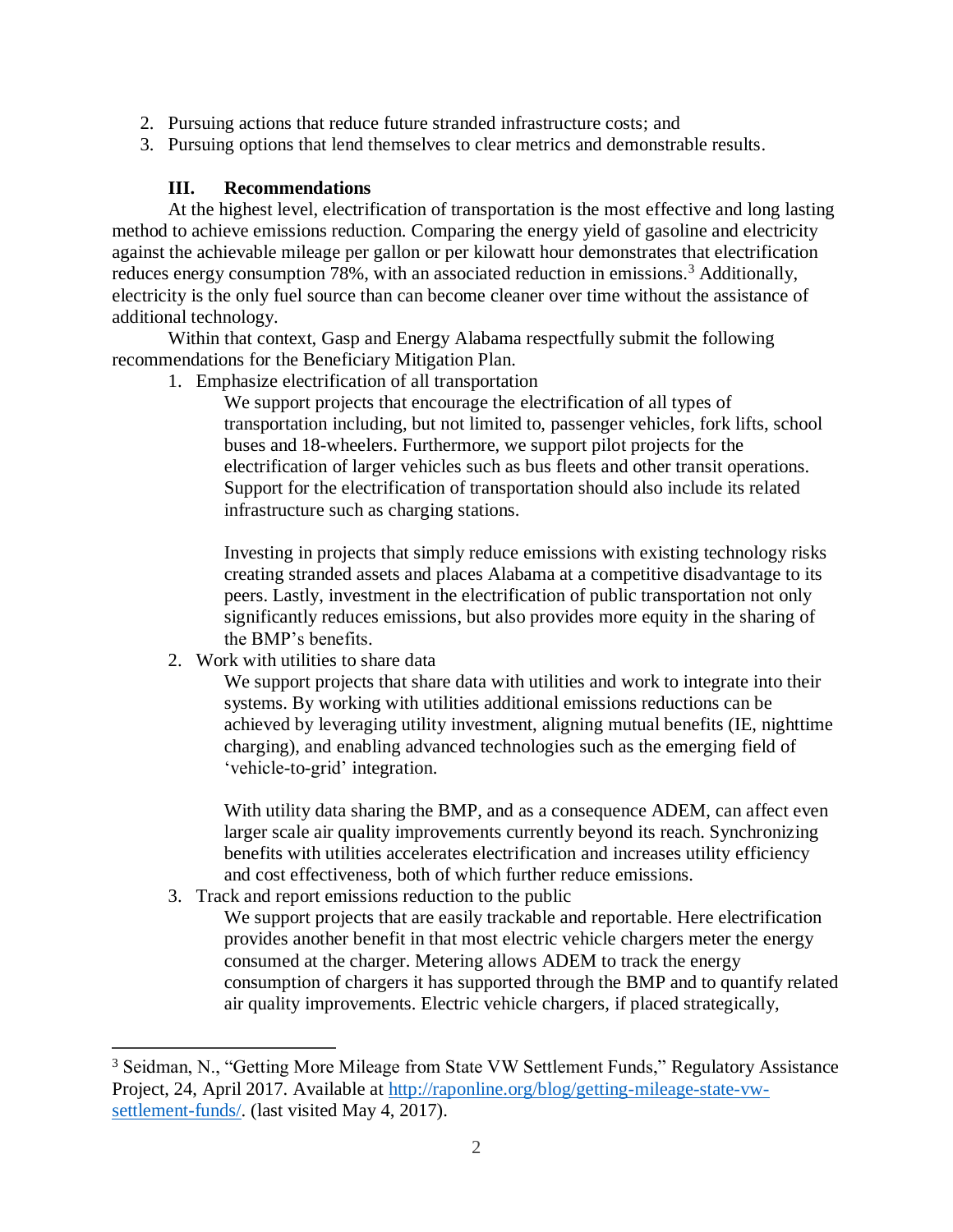- 2. Pursuing actions that reduce future stranded infrastructure costs; and
- 3. Pursuing options that lend themselves to clear metrics and demonstrable results.

#### **III. Recommendations**

At the highest level, electrification of transportation is the most effective and long lasting method to achieve emissions reduction. Comparing the energy yield of gasoline and electricity against the achievable mileage per gallon or per kilowatt hour demonstrates that electrification reduces energy consumption 78%, with an associated reduction in emissions.<sup>3</sup> Additionally, electricity is the only fuel source than can become cleaner over time without the assistance of additional technology.

Within that context, Gasp and Energy Alabama respectfully submit the following recommendations for the Beneficiary Mitigation Plan.

1. Emphasize electrification of all transportation

We support projects that encourage the electrification of all types of transportation including, but not limited to, passenger vehicles, fork lifts, school buses and 18-wheelers. Furthermore, we support pilot projects for the electrification of larger vehicles such as bus fleets and other transit operations. Support for the electrification of transportation should also include its related infrastructure such as charging stations.

Investing in projects that simply reduce emissions with existing technology risks creating stranded assets and places Alabama at a competitive disadvantage to its peers. Lastly, investment in the electrification of public transportation not only significantly reduces emissions, but also provides more equity in the sharing of the BMP's benefits.

2. Work with utilities to share data

 $\overline{a}$ 

We support projects that share data with utilities and work to integrate into their systems. By working with utilities additional emissions reductions can be achieved by leveraging utility investment, aligning mutual benefits (IE, nighttime charging), and enabling advanced technologies such as the emerging field of 'vehicle-to-grid' integration.

With utility data sharing the BMP, and as a consequence ADEM, can affect even larger scale air quality improvements currently beyond its reach. Synchronizing benefits with utilities accelerates electrification and increases utility efficiency and cost effectiveness, both of which further reduce emissions.

3. Track and report emissions reduction to the public

We support projects that are easily trackable and reportable. Here electrification provides another benefit in that most electric vehicle chargers meter the energy consumed at the charger. Metering allows ADEM to track the energy consumption of chargers it has supported through the BMP and to quantify related air quality improvements. Electric vehicle chargers, if placed strategically,

<sup>&</sup>lt;sup>3</sup> Seidman, N., "Getting More Mileage from State VW Settlement Funds," Regulatory Assistance Project, 24, April 2017. Available at [http://raponline.org/blog/getting-mileage-state-vw](http://raponline.org/blog/getting-mileage-state-vw-settlement-funds/)[settlement-funds/.](http://raponline.org/blog/getting-mileage-state-vw-settlement-funds/) (last visited May 4, 2017).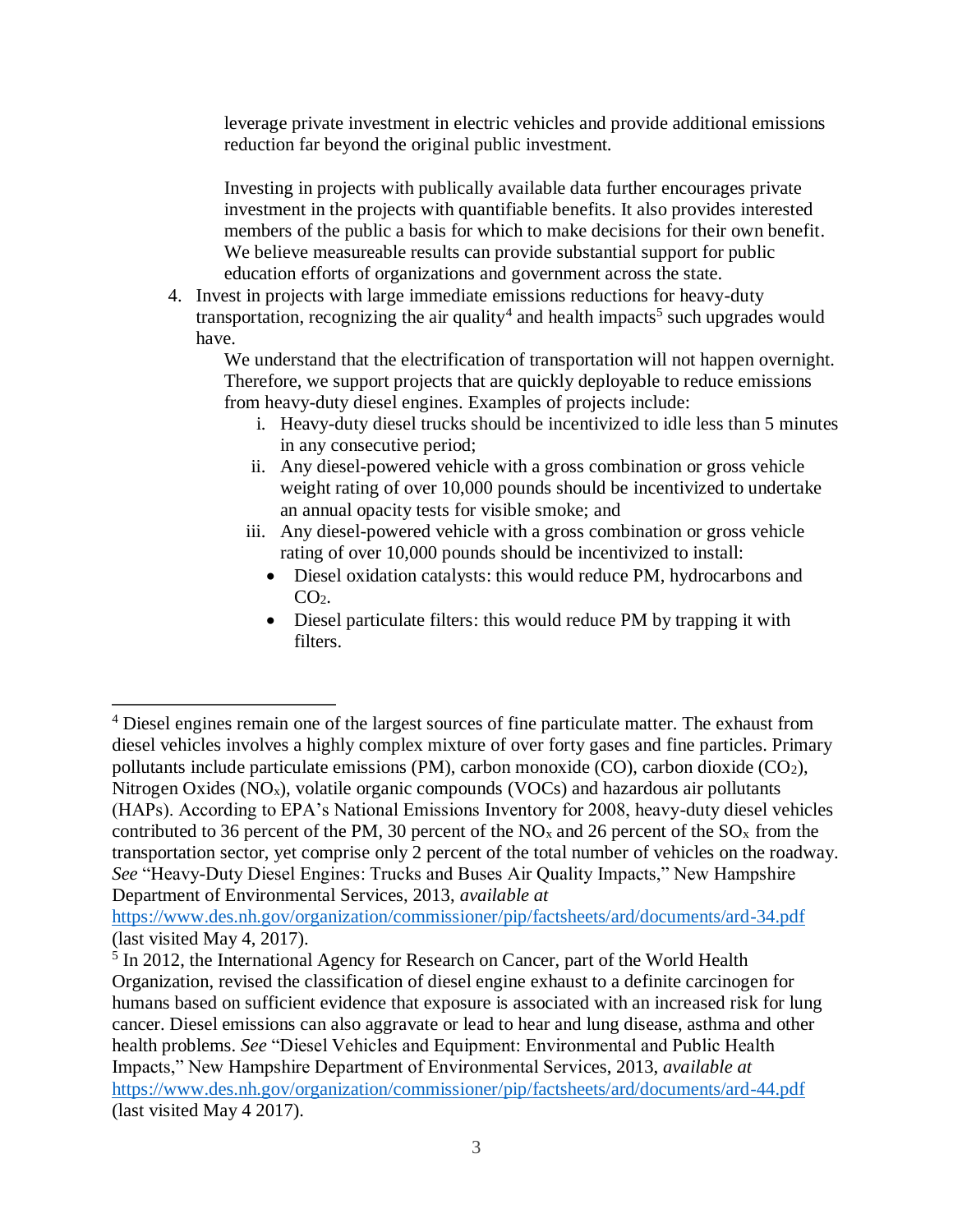leverage private investment in electric vehicles and provide additional emissions reduction far beyond the original public investment.

Investing in projects with publically available data further encourages private investment in the projects with quantifiable benefits. It also provides interested members of the public a basis for which to make decisions for their own benefit. We believe measureable results can provide substantial support for public education efforts of organizations and government across the state.

4. Invest in projects with large immediate emissions reductions for heavy-duty transportation, recognizing the air quality<sup>4</sup> and health impacts<sup>5</sup> such upgrades would have.

We understand that the electrification of transportation will not happen overnight. Therefore, we support projects that are quickly deployable to reduce emissions from heavy-duty diesel engines. Examples of projects include:

- i. Heavy-duty diesel trucks should be incentivized to idle less than 5 minutes in any consecutive period;
- ii. Any diesel-powered vehicle with a gross combination or gross vehicle weight rating of over 10,000 pounds should be incentivized to undertake an annual opacity tests for visible smoke; and
- iii. Any diesel-powered vehicle with a gross combination or gross vehicle rating of over 10,000 pounds should be incentivized to install:
	- Diesel oxidation catalysts: this would reduce PM, hydrocarbons and  $CO<sub>2</sub>$ .
	- Diesel particulate filters: this would reduce PM by trapping it with filters.

 $\overline{a}$ 

<sup>&</sup>lt;sup>4</sup> Diesel engines remain one of the largest sources of fine particulate matter. The exhaust from diesel vehicles involves a highly complex mixture of over forty gases and fine particles. Primary pollutants include particulate emissions (PM), carbon monoxide (CO), carbon dioxide (CO2), Nitrogen Oxides  $(NO_x)$ , volatile organic compounds  $(VOCs)$  and hazardous air pollutants (HAPs). According to EPA's National Emissions Inventory for 2008, heavy-duty diesel vehicles contributed to 36 percent of the PM, 30 percent of the  $NO<sub>x</sub>$  and 26 percent of the  $SO<sub>x</sub>$  from the transportation sector, yet comprise only 2 percent of the total number of vehicles on the roadway. *See* "Heavy-Duty Diesel Engines: Trucks and Buses Air Quality Impacts," New Hampshire Department of Environmental Services, 2013, *available at* 

<https://www.des.nh.gov/organization/commissioner/pip/factsheets/ard/documents/ard-34.pdf> (last visited May 4, 2017).

<sup>&</sup>lt;sup>5</sup> In 2012, the International Agency for Research on Cancer, part of the World Health Organization, revised the classification of diesel engine exhaust to a definite carcinogen for humans based on sufficient evidence that exposure is associated with an increased risk for lung cancer. Diesel emissions can also aggravate or lead to hear and lung disease, asthma and other health problems. *See* "Diesel Vehicles and Equipment: Environmental and Public Health Impacts," New Hampshire Department of Environmental Services, 2013, *available at*  <https://www.des.nh.gov/organization/commissioner/pip/factsheets/ard/documents/ard-44.pdf> (last visited May 4 2017).